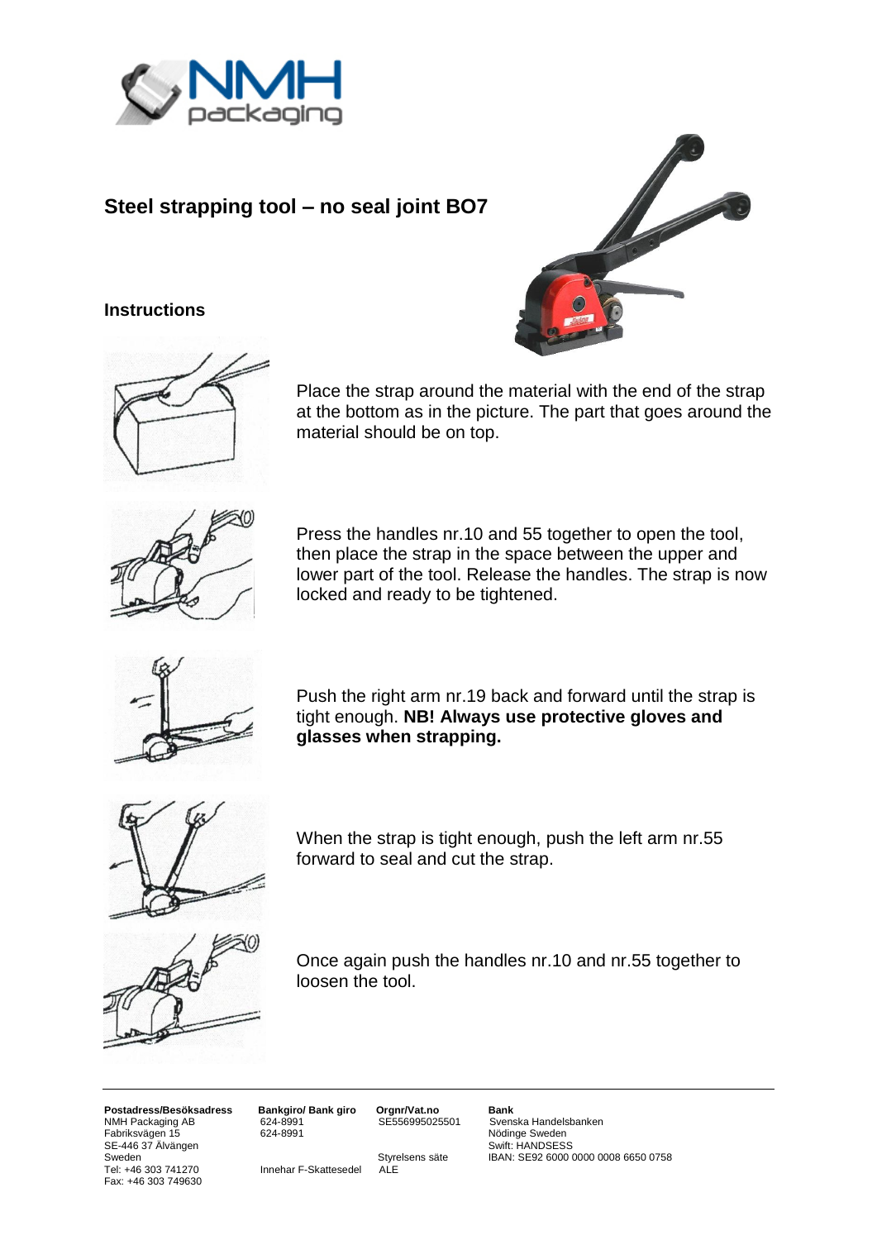

# **Steel strapping tool – no seal joint BO7**

### **Instructions**





Place the strap around the material with the end of the strap at the bottom as in the picture. The part that goes around the material should be on top.



Press the handles nr.10 and 55 together to open the tool, then place the strap in the space between the upper and lower part of the tool. Release the handles. The strap is now locked and ready to be tightened.



Push the right arm nr.19 back and forward until the strap is tight enough. **NB! Always use protective gloves and glasses when strapping.**



When the strap is tight enough, push the left arm nr.55 forward to seal and cut the strap.



Once again push the handles nr.10 and nr.55 together to loosen the tool.

**Postadress/Besöksadress Bankgiro/ Bank giro Orgnr/Vat.no Bank** NUMH Packaging AB 624-8991 SE556995025501 Svenska Handelsbanken<br>
Fabriksvägen 15 624-8991 SE556995025501 Nödinge Sweden SE-446 37 Älvängen<br>SE-446 37 Älvängen Sweden Sweden Styrelsens säte Sweden Styrelsens säte IBAN: SE92 6000 0000 0008 6650 0758<br>
Tel: +46 303 741270 Innehar F-Skattesedel ALE Fax: +46 303 749630

Innehar F-Skattesedel

Nödinge Sweden<br>Swift: HANDSESS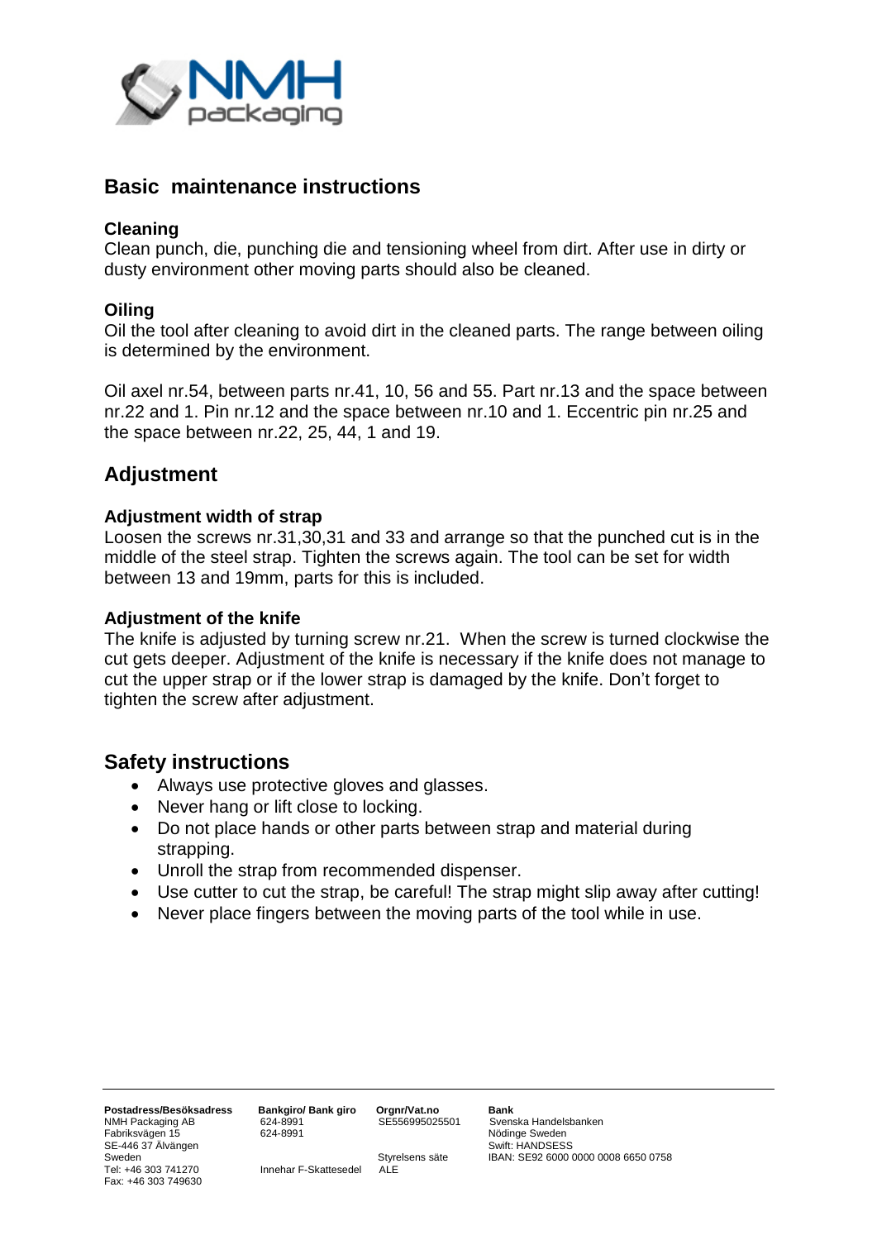

## **Basic maintenance instructions**

## **Cleaning**

Clean punch, die, punching die and tensioning wheel from dirt. After use in dirty or dusty environment other moving parts should also be cleaned.

## **Oiling**

Oil the tool after cleaning to avoid dirt in the cleaned parts. The range between oiling is determined by the environment.

Oil axel nr.54, between parts nr.41, 10, 56 and 55. Part nr.13 and the space between nr.22 and 1. Pin nr.12 and the space between nr.10 and 1. Eccentric pin nr.25 and the space between nr.22, 25, 44, 1 and 19.

# **Adjustment**

### **Adjustment width of strap**

Loosen the screws nr.31,30,31 and 33 and arrange so that the punched cut is in the middle of the steel strap. Tighten the screws again. The tool can be set for width between 13 and 19mm, parts for this is included.

### **Adjustment of the knife**

The knife is adjusted by turning screw nr.21. When the screw is turned clockwise the cut gets deeper. Adjustment of the knife is necessary if the knife does not manage to cut the upper strap or if the lower strap is damaged by the knife. Don't forget to tighten the screw after adjustment.

## **Safety instructions**

- Always use protective gloves and glasses.
- Never hang or lift close to locking.
- Do not place hands or other parts between strap and material during strapping.
- Unroll the strap from recommended dispenser.
- Use cutter to cut the strap, be careful! The strap might slip away after cutting!
- Never place fingers between the moving parts of the tool while in use.

**Postadress/Besöksadress Bankgiro/ Bank giro Orgnr/Vat.no Bank** NMH Packaging AB 624-8991<br>Fabriksvägen 15 624-8991 SE-446 37 Älvängen Suitselinusti Swift: HANDSESS<br>Sweden Sweden Suitselinusti Styrelsens säte Sweden Sweden Suitselinusti Styrelsens säte Suitselinusti SE92 6000 Sweden <sup>S</sup><br>Tel: +46 303 741270 Innehar F-Skattesedel ALE<br> **Styrelsens säte** IBAN: SE92 6000 0000 0008 6650 0758 Fax: +46 303 749630

Innehar F-Skattesedel

Nödinge Sweden